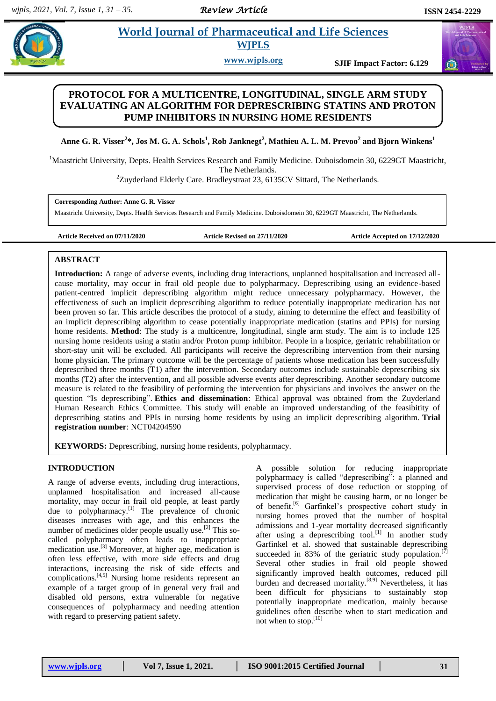$\bigcirc$ 

## **Paramaceutical and Life Sciences**  **WJPLS**

**www.wjpls.org SJIF Impact Factor: 6.129**

# **PROTOCOL FOR A MULTICENTRE, LONGITUDINAL, SINGLE ARM STUDY EVALUATING AN ALGORITHM FOR DEPRESCRIBING STATINS AND PROTON PUMP INHIBITORS IN NURSING HOME RESIDENTS**

**Anne G. R. Visser<sup>2</sup> \*, Jos M. G. A. Schols<sup>1</sup> , Rob Janknegt<sup>2</sup> , Mathieu A. L. M. Prevoo<sup>2</sup> and Bjorn Winkens<sup>1</sup>**

<sup>1</sup>Maastricht University, Depts. Health Services Research and Family Medicine. Duboisdomein 30, 6229GT Maastricht, The Netherlands.

 $2$ Zuyderland Elderly Care. Bradleystraat 23, 6135CV Sittard, The Netherlands.

**Corresponding Author: Anne G. R. Visser**

Maastricht University, Depts. Health Services Research and Family Medicine. Duboisdomein 30, 6229GT Maastricht, The Netherlands.

**Article Received on 07/11/2020 Article Revised on 27/11/2020 Article Accepted on 17/12/2020**

### **ABSTRACT**

**Introduction:** A range of adverse events, including drug interactions, unplanned hospitalisation and increased allcause mortality, may occur in frail old people due to polypharmacy. Deprescribing using an evidence-based patient-centred implicit deprescribing algorithm might reduce unnecessary polypharmacy. However, the effectiveness of such an implicit deprescribing algorithm to reduce potentially inappropriate medication has not been proven so far. This article describes the protocol of a study, aiming to determine the effect and feasibility of an implicit deprescribing algorithm to cease potentially inappropriate medication (statins and PPIs) for nursing home residents. **Method**: The study is a multicentre, longitudinal, single arm study. The aim is to include 125 nursing home residents using a statin and/or Proton pump inhibitor. People in a hospice, geriatric rehabilitation or short-stay unit will be excluded. All participants will receive the deprescribing intervention from their nursing home physician. The primary outcome will be the percentage of patients whose medication has been successfully deprescribed three months (T1) after the intervention. Secondary outcomes include sustainable deprescribing six months (T2) after the intervention, and all possible adverse events after deprescribing. Another secondary outcome measure is related to the feasibility of performing the intervention for physicians and involves the answer on the question "Is deprescribing". **Ethics and dissemination**: Ethical approval was obtained from the Zuyderland Human Research Ethics Committee. This study will enable an improved understanding of the feasibitity of deprescribing statins and PPIs in nursing home residents by using an implicit deprescribing algorithm. **Trial registration number**: NCT04204590

**KEYWORDS:** Deprescribing, nursing home residents, polypharmacy.

## **INTRODUCTION**

A range of adverse events, including drug interactions, unplanned hospitalisation and increased all-cause mortality, may occur in frail old people, at least partly due to polypharmacy.<sup>[1]</sup> The prevalence of chronic diseases increases with age, and this enhances the number of medicines older people usually use.<sup>[2]</sup> This socalled polypharmacy often leads to inappropriate medication use.[3] Moreover, at higher age, medication is often less effective, with more side effects and drug interactions, increasing the risk of side effects and complications.[4,5] Nursing home residents represent an example of a target group of in general very frail and disabled old persons, extra vulnerable for negative consequences of polypharmacy and needing attention with regard to preserving patient safety.

A possible solution for reducing inappropriate polypharmacy is called "deprescribing": a planned and supervised process of dose reduction or stopping of medication that might be causing harm, or no longer be of benefit. [6] Garfinkel's prospective cohort study in nursing homes proved that the number of hospital admissions and 1-year mortality decreased significantly after using a deprescribing tool.<sup>[1]</sup> In another study Garfinkel et al. showed that sustainable deprescribing succeeded in 83% of the geriatric study population.<sup>[7]</sup> Several other studies in frail old people showed significantly improved health outcomes, reduced pill burden and decreased mortality.<sup>[8,9]</sup> Nevertheless, it has been difficult for physicians to sustainably stop potentially inappropriate medication, mainly because guidelines often describe when to start medication and not when to stop.[10]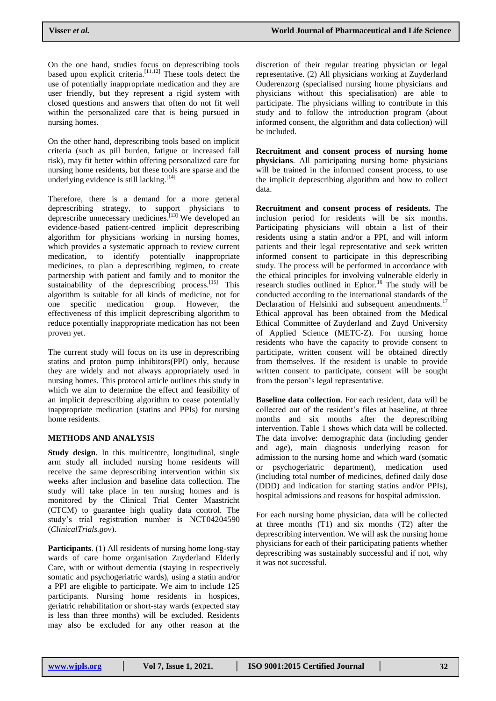On the one hand, studies focus on deprescribing tools based upon explicit criteria. $\left[11,12\right]$  These tools detect the use of potentially inappropriate medication and they are user friendly, but they represent a rigid system with closed questions and answers that often do not fit well within the personalized care that is being pursued in nursing homes.

On the other hand, deprescribing tools based on implicit criteria (such as pill burden, fatigue or increased fall risk), may fit better within offering personalized care for nursing home residents, but these tools are sparse and the underlying evidence is still lacking.<sup>[14]</sup>

Therefore, there is a demand for a more general deprescribing strategy, to support physicians to deprescribe unnecessary medicines. [13] We developed an evidence-based patient-centred implicit deprescribing algorithm for physicians working in nursing homes, which provides a systematic approach to review current medication, to identify potentially inappropriate medicines, to plan a deprescribing regimen, to create partnership with patient and family and to monitor the sustainability of the deprescribing process.<sup>[15]</sup> This algorithm is suitable for all kinds of medicine, not for one specific medication group. However, the effectiveness of this implicit deprescribing algorithm to reduce potentially inappropriate medication has not been proven yet.

The current study will focus on its use in deprescribing statins and proton pump inhibitors(PPI) only, because they are widely and not always appropriately used in nursing homes. This protocol article outlines this study in which we aim to determine the effect and feasibility of an implicit deprescribing algorithm to cease potentially inappropriate medication (statins and PPIs) for nursing home residents.

#### **METHODS AND ANALYSIS**

**Study design.** In this multicentre, longitudinal, single arm study all included nursing home residents will receive the same deprescribing intervention within six weeks after inclusion and baseline data collection. The study will take place in ten nursing homes and is monitored by the Clinical Trial Center Maastricht (CTCM) to guarantee high quality data control. The study's trial registration number is NCT04204590 (*ClinicalTrials.gov*).

**Participants**. (1) All residents of nursing home long-stay wards of care home organisation Zuyderland Elderly Care, with or without dementia (staying in respectively somatic and psychogeriatric wards), using a statin and/or a PPI are eligible to participate. We aim to include 125 participants. Nursing home residents in hospices, geriatric rehabilitation or short-stay wards (expected stay is less than three months) will be excluded. Residents may also be excluded for any other reason at the

discretion of their regular treating physician or legal representative. (2) All physicians working at Zuyderland Ouderenzorg (specialised nursing home physicians and physicians without this specialisation) are able to participate. The physicians willing to contribute in this study and to follow the introduction program (about informed consent, the algorithm and data collection) will be included.

**Recruitment and consent process of nursing home physicians**. All participating nursing home physicians will be trained in the informed consent process, to use the implicit deprescribing algorithm and how to collect data.

**Recruitment and consent process of residents.** The inclusion period for residents will be six months. Participating physicians will obtain a list of their residents using a statin and/or a PPI, and will inform patients and their legal representative and seek written informed consent to participate in this deprescribing study. The process will be performed in accordance with the ethical principles for involving vulnerable elderly in research studies outlined in Ephor.<sup>16</sup> The study will be conducted according to the international standards of the Declaration of Helsinki and subsequent amendments.<sup>17</sup> Ethical approval has been obtained from the Medical Ethical Committee of Zuyderland and Zuyd University of Applied Science (METC-Z). For nursing home residents who have the capacity to provide consent to participate, written consent will be obtained directly from themselves. If the resident is unable to provide written consent to participate, consent will be sought from the person's legal representative.

**Baseline data collection**. For each resident, data will be collected out of the resident's files at baseline, at three months and six months after the deprescribing intervention. Table 1 shows which data will be collected. The data involve: demographic data (including gender and age), main diagnosis underlying reason for admission to the nursing home and which ward (somatic or psychogeriatric department), medication used (including total number of medicines, defined daily dose (DDD) and indication for starting statins and/or PPIs), hospital admissions and reasons for hospital admission.

For each nursing home physician, data will be collected at three months (T1) and six months (T2) after the deprescribing intervention. We will ask the nursing home physicians for each of their participating patients whether deprescribing was sustainably successful and if not, why it was not successful.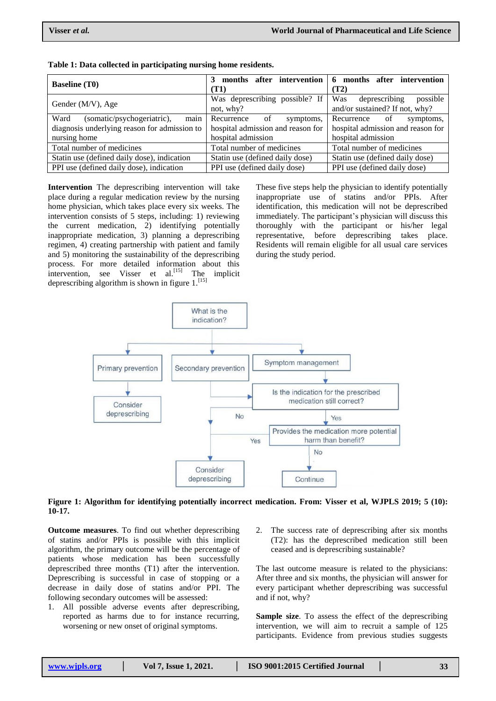| <b>Baseline</b> (T0)                         | 3 months after intervention<br>(T1)                          | 6 months after intervention<br>(T2) |  |
|----------------------------------------------|--------------------------------------------------------------|-------------------------------------|--|
| Gender (M/V), Age                            | Was deprescribing possible? If                               | Was<br>deprescribing<br>possible    |  |
|                                              | not, why?                                                    | and/or sustained? If not, why?      |  |
| (somatic/psychogeriatric), main<br>Ward      | Recurrence<br>of<br>symptoms,                                | Recurrence<br>of<br>symptoms,       |  |
| diagnosis underlying reason for admission to | hospital admission and reason for                            | hospital admission and reason for   |  |
| nursing home                                 | hospital admission                                           | hospital admission                  |  |
| Total number of medicines                    | Total number of medicines                                    | Total number of medicines           |  |
| Statin use (defined daily dose), indication  | Statin use (defined daily dose)                              | Statin use (defined daily dose)     |  |
| PPI use (defined daily dose), indication     | PPI use (defined daily dose)<br>PPI use (defined daily dose) |                                     |  |

| Table 1: Data collected in participating nursing home residents. |  |  |  |
|------------------------------------------------------------------|--|--|--|
|------------------------------------------------------------------|--|--|--|

**Intervention** The deprescribing intervention will take place during a regular medication review by the nursing home physician, which takes place every six weeks. The intervention consists of 5 steps, including: 1) reviewing the current medication, 2) identifying potentially inappropriate medication, 3) planning a deprescribing regimen, 4) creating partnership with patient and family and 5) monitoring the sustainability of the deprescribing process. For more detailed information about this intervention, see Visser et al.<sup>[15]</sup> The implicit deprescribing algorithm is shown in figure  $1$ . [15]

These five steps help the physician to identify potentially inappropriate use of statins and/or PPIs. After identification, this medication will not be deprescribed immediately. The participant's physician will discuss this thoroughly with the participant or his/her legal representative, before deprescribing takes place. Residents will remain eligible for all usual care services during the study period.



#### **Figure 1: Algorithm for identifying potentially incorrect medication. From: Visser et al, WJPLS 2019; 5 (10): 10-17.**

**Outcome measures**. To find out whether deprescribing of statins and/or PPIs is possible with this implicit algorithm, the primary outcome will be the percentage of patients whose medication has been successfully deprescribed three months (T1) after the intervention. Deprescribing is successful in case of stopping or a decrease in daily dose of statins and/or PPI. The following secondary outcomes will be assessed:

- 1. All possible adverse events after deprescribing, reported as harms due to for instance recurring, worsening or new onset of original symptoms.
- The success rate of deprescribing after six months (T2): has the deprescribed medication still been ceased and is deprescribing sustainable?

The last outcome measure is related to the physicians: After three and six months, the physician will answer for every participant whether deprescribing was successful and if not, why?

**Sample size**. To assess the effect of the deprescribing intervention, we will aim to recruit a sample of 125 participants. Evidence from previous studies suggests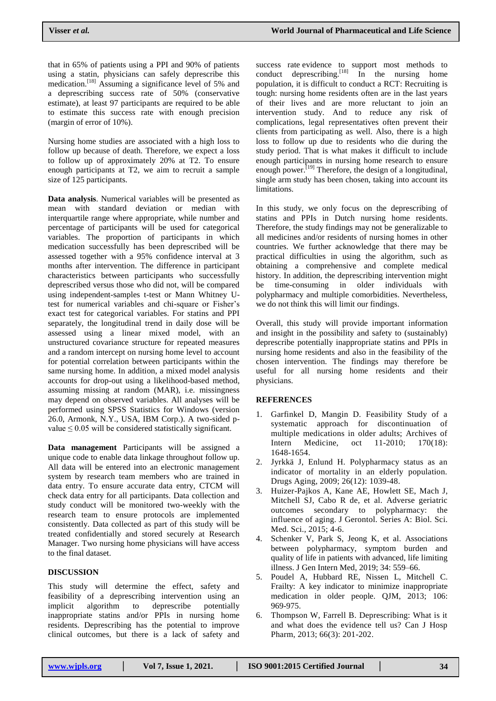that in 65% of patients using a PPI and 90% of patients using a statin, physicians can safely deprescribe this medication.<sup>[18]</sup> Assuming a significance level of 5% and a deprescribing success rate of 50% (conservative estimate), at least 97 participants are required to be able to estimate this success rate with enough precision (margin of error of 10%).

Nursing home studies are associated with a high loss to follow up because of death. Therefore, we expect a loss to follow up of approximately 20% at T2. To ensure enough participants at T2, we aim to recruit a sample size of 125 participants.

**Data analysis**. Numerical variables will be presented as mean with standard deviation or median with interquartile range where appropriate, while number and percentage of participants will be used for categorical variables. The proportion of participants in which medication successfully has been deprescribed will be assessed together with a 95% confidence interval at 3 months after intervention. The difference in participant characteristics between participants who successfully deprescribed versus those who did not, will be compared using independent-samples t-test or Mann Whitney Utest for numerical variables and chi-square or Fisher's exact test for categorical variables. For statins and PPI separately, the longitudinal trend in daily dose will be assessed using a linear mixed model, with an unstructured covariance structure for repeated measures and a random intercept on nursing home level to account for potential correlation between participants within the same nursing home. In addition, a mixed model analysis accounts for drop-out using a likelihood-based method, assuming missing at random (MAR), i.e. missingness may depend on observed variables. All analyses will be performed using SPSS Statistics for Windows (version 26.0, Armonk, N.Y., USA, IBM Corp.). A two-sided pvalue  $\leq 0.05$  will be considered statistically significant.

**Data management** Participants will be assigned a unique code to enable data linkage throughout follow up. All data will be entered into an electronic management system by research team members who are trained in data entry. To ensure accurate data entry, CTCM will check data entry for all participants. Data collection and study conduct will be monitored two-weekly with the research team to ensure protocols are implemented consistently. Data collected as part of this study will be treated confidentially and stored securely at Research Manager. Two nursing home physicians will have access to the final dataset.

#### **DISCUSSION**

This study will determine the effect, safety and feasibility of a deprescribing intervention using an implicit algorithm to deprescribe potentially inappropriate statins and/or PPIs in nursing home residents. Deprescribing has the potential to improve clinical outcomes, but there is a lack of safety and

success rate evidence to support most methods to conduct deprescribing.<sup>[18]</sup> In the nursing home population, it is difficult to conduct a RCT: Recruiting is tough: nursing home residents often are in the last years of their lives and are more reluctant to join an intervention study. And to reduce any risk of complications, legal representatives often prevent their clients from participating as well. Also, there is a high loss to follow up due to residents who die during the study period. That is what makes it difficult to include enough participants in nursing home research to ensure enough power.<sup>[19]</sup> Therefore, the design of a longitudinal, single arm study has been chosen, taking into account its limitations.

In this study, we only focus on the deprescribing of statins and PPIs in Dutch nursing home residents. Therefore, the study findings may not be generalizable to all medicines and/or residents of nursing homes in other countries. We further acknowledge that there may be practical difficulties in using the algorithm, such as obtaining a comprehensive and complete medical history. In addition, the deprescribing intervention might be time-consuming in older individuals with polypharmacy and multiple comorbidities. Nevertheless, we do not think this will limit our findings.

Overall, this study will provide important information and insight in the possibility and safety to (sustainably) deprescribe potentially inappropriate statins and PPIs in nursing home residents and also in the feasibility of the chosen intervention. The findings may therefore be useful for all nursing home residents and their physicians.

#### **REFERENCES**

- 1. Garfinkel D, Mangin D. Feasibility Study of a systematic approach for discontinuation of multiple medications in older adults; Archives of Intern Medicine, oct 11-2010; 170(18): 1648-1654.
- 2. Jyrkkä J, Enlund H. Polypharmacy status as an indicator of mortality in an elderly population. Drugs Aging, 2009; 26(12): 1039-48.
- 3. Huizer-Pajkos A, Kane AE, Howlett SE, Mach J, Mitchell SJ, Cabo R de, et al. Adverse geriatric outcomes secondary to polypharmacy: the influence of aging. J Gerontol. Series A: Biol. Sci. Med. Sci., 2015; 4-6.
- 4. Schenker V, Park S, Jeong K, et al. Associations between polypharmacy, symptom burden and quality of life in patients with advanced, life limiting illness. J Gen Intern Med, 2019; 34: 559–66.
- 5. Poudel A, Hubbard RE, Nissen L, Mitchell C. Frailty: A key indicator to minimize inappropriate medication in older people. QJM, 2013; 106: 969-975.
- 6. Thompson W, Farrell B. Deprescribing: What is it and what does the evidence tell us? Can J Hosp Pharm, 2013; 66(3): 201-202.